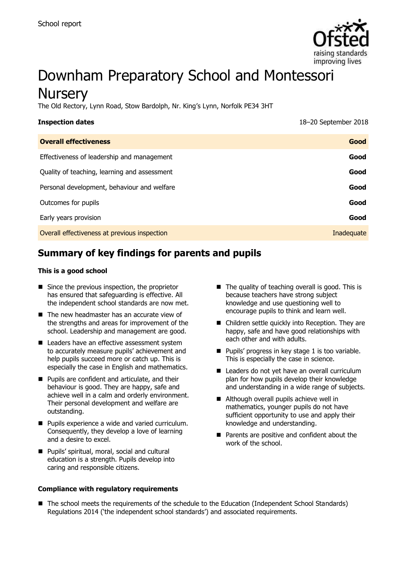

# Downham Preparatory School and Montessori **Nursery**

The Old Rectory, Lynn Road, Stow Bardolph, Nr. King's Lynn, Norfolk PE34 3HT

| <b>Inspection dates</b>                      | 18-20 September 2018 |
|----------------------------------------------|----------------------|
| <b>Overall effectiveness</b>                 | Good                 |
| Effectiveness of leadership and management   | Good                 |
| Quality of teaching, learning and assessment | Good                 |
| Personal development, behaviour and welfare  | Good                 |
| Outcomes for pupils                          | Good                 |
| Early years provision                        | Good                 |
| Overall effectiveness at previous inspection | Inadequate           |

## **Summary of key findings for parents and pupils**

#### **This is a good school**

- $\blacksquare$  Since the previous inspection, the proprietor has ensured that safeguarding is effective. All the independent school standards are now met.
- $\blacksquare$  The new headmaster has an accurate view of the strengths and areas for improvement of the school. Leadership and management are good.
- Leaders have an effective assessment system to accurately measure pupils' achievement and help pupils succeed more or catch up. This is especially the case in English and mathematics.
- **Pupils are confident and articulate, and their** behaviour is good. They are happy, safe and achieve well in a calm and orderly environment. Their personal development and welfare are outstanding.
- **Pupils experience a wide and varied curriculum.** Consequently, they develop a love of learning and a desire to excel.
- **Pupils' spiritual, moral, social and cultural** education is a strength. Pupils develop into caring and responsible citizens.

#### **Compliance with regulatory requirements**

- $\blacksquare$  The quality of teaching overall is good. This is because teachers have strong subject knowledge and use questioning well to encourage pupils to think and learn well.
- Children settle quickly into Reception. They are happy, safe and have good relationships with each other and with adults.
- $\blacksquare$  Pupils' progress in key stage 1 is too variable. This is especially the case in science.
- Leaders do not yet have an overall curriculum plan for how pupils develop their knowledge and understanding in a wide range of subjects.
- Although overall pupils achieve well in mathematics, younger pupils do not have sufficient opportunity to use and apply their knowledge and understanding.
- **Parents are positive and confident about the** work of the school.
- The school meets the requirements of the schedule to the Education (Independent School Standards) Regulations 2014 ('the independent school standards') and associated requirements.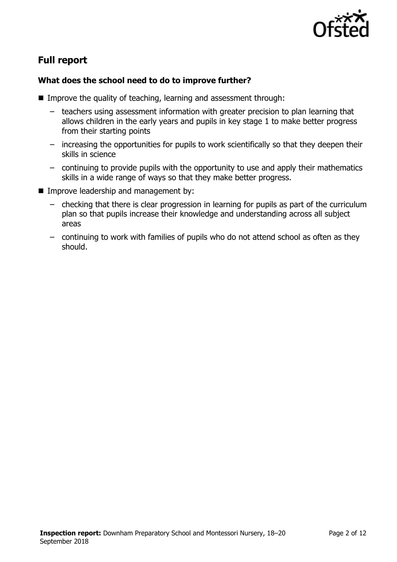

# **Full report**

### **What does the school need to do to improve further?**

- Improve the quality of teaching, learning and assessment through:
	- teachers using assessment information with greater precision to plan learning that allows children in the early years and pupils in key stage 1 to make better progress from their starting points
	- increasing the opportunities for pupils to work scientifically so that they deepen their skills in science
	- continuing to provide pupils with the opportunity to use and apply their mathematics skills in a wide range of ways so that they make better progress.
- **Improve leadership and management by:** 
	- checking that there is clear progression in learning for pupils as part of the curriculum plan so that pupils increase their knowledge and understanding across all subject areas
	- continuing to work with families of pupils who do not attend school as often as they should.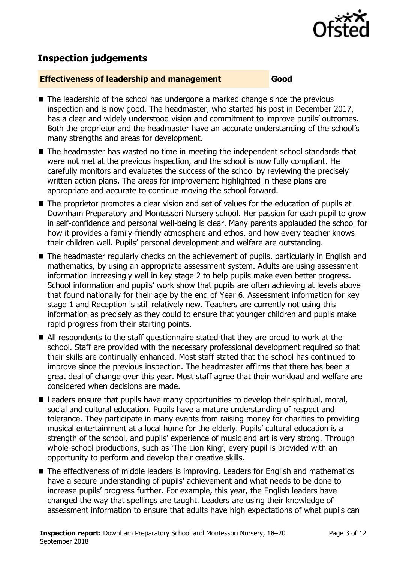

# **Inspection judgements**

#### **Effectiveness of leadership and management Good**

- The leadership of the school has undergone a marked change since the previous inspection and is now good. The headmaster, who started his post in December 2017, has a clear and widely understood vision and commitment to improve pupils' outcomes. Both the proprietor and the headmaster have an accurate understanding of the school's many strengths and areas for development.
- The headmaster has wasted no time in meeting the independent school standards that were not met at the previous inspection, and the school is now fully compliant. He carefully monitors and evaluates the success of the school by reviewing the precisely written action plans. The areas for improvement highlighted in these plans are appropriate and accurate to continue moving the school forward.
- The proprietor promotes a clear vision and set of values for the education of pupils at Downham Preparatory and Montessori Nursery school. Her passion for each pupil to grow in self-confidence and personal well-being is clear. Many parents applauded the school for how it provides a family-friendly atmosphere and ethos, and how every teacher knows their children well. Pupils' personal development and welfare are outstanding.
- The headmaster regularly checks on the achievement of pupils, particularly in English and mathematics, by using an appropriate assessment system. Adults are using assessment information increasingly well in key stage 2 to help pupils make even better progress. School information and pupils' work show that pupils are often achieving at levels above that found nationally for their age by the end of Year 6. Assessment information for key stage 1 and Reception is still relatively new. Teachers are currently not using this information as precisely as they could to ensure that younger children and pupils make rapid progress from their starting points.
- All respondents to the staff questionnaire stated that they are proud to work at the school. Staff are provided with the necessary professional development required so that their skills are continually enhanced. Most staff stated that the school has continued to improve since the previous inspection. The headmaster affirms that there has been a great deal of change over this year. Most staff agree that their workload and welfare are considered when decisions are made.
- Leaders ensure that pupils have many opportunities to develop their spiritual, moral, social and cultural education. Pupils have a mature understanding of respect and tolerance. They participate in many events from raising money for charities to providing musical entertainment at a local home for the elderly. Pupils' cultural education is a strength of the school, and pupils' experience of music and art is very strong. Through whole-school productions, such as 'The Lion King', every pupil is provided with an opportunity to perform and develop their creative skills.
- The effectiveness of middle leaders is improving. Leaders for English and mathematics have a secure understanding of pupils' achievement and what needs to be done to increase pupils' progress further. For example, this year, the English leaders have changed the way that spellings are taught. Leaders are using their knowledge of assessment information to ensure that adults have high expectations of what pupils can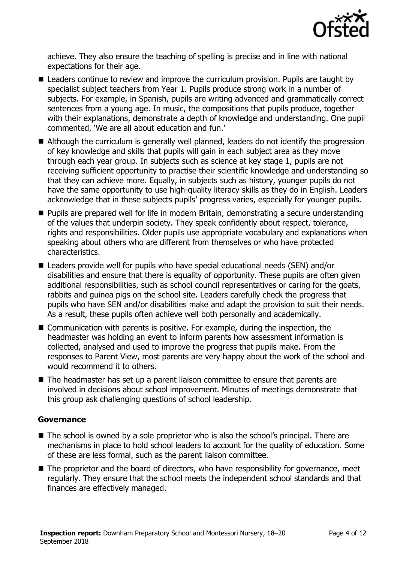

achieve. They also ensure the teaching of spelling is precise and in line with national expectations for their age.

- Leaders continue to review and improve the curriculum provision. Pupils are taught by specialist subject teachers from Year 1. Pupils produce strong work in a number of subjects. For example, in Spanish, pupils are writing advanced and grammatically correct sentences from a young age. In music, the compositions that pupils produce, together with their explanations, demonstrate a depth of knowledge and understanding. One pupil commented, 'We are all about education and fun.'
- Although the curriculum is generally well planned, leaders do not identify the progression of key knowledge and skills that pupils will gain in each subject area as they move through each year group. In subjects such as science at key stage 1, pupils are not receiving sufficient opportunity to practise their scientific knowledge and understanding so that they can achieve more. Equally, in subjects such as history, younger pupils do not have the same opportunity to use high-quality literacy skills as they do in English. Leaders acknowledge that in these subjects pupils' progress varies, especially for younger pupils.
- **Pupils are prepared well for life in modern Britain, demonstrating a secure understanding** of the values that underpin society. They speak confidently about respect, tolerance, rights and responsibilities. Older pupils use appropriate vocabulary and explanations when speaking about others who are different from themselves or who have protected characteristics.
- Leaders provide well for pupils who have special educational needs (SEN) and/or disabilities and ensure that there is equality of opportunity. These pupils are often given additional responsibilities, such as school council representatives or caring for the goats, rabbits and guinea pigs on the school site. Leaders carefully check the progress that pupils who have SEN and/or disabilities make and adapt the provision to suit their needs. As a result, these pupils often achieve well both personally and academically.
- Communication with parents is positive. For example, during the inspection, the headmaster was holding an event to inform parents how assessment information is collected, analysed and used to improve the progress that pupils make. From the responses to Parent View, most parents are very happy about the work of the school and would recommend it to others.
- The headmaster has set up a parent liaison committee to ensure that parents are involved in decisions about school improvement. Minutes of meetings demonstrate that this group ask challenging questions of school leadership.

#### **Governance**

- The school is owned by a sole proprietor who is also the school's principal. There are mechanisms in place to hold school leaders to account for the quality of education. Some of these are less formal, such as the parent liaison committee.
- The proprietor and the board of directors, who have responsibility for governance, meet regularly. They ensure that the school meets the independent school standards and that finances are effectively managed.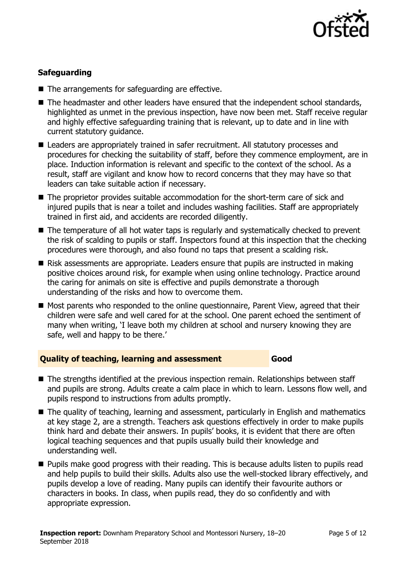

### **Safeguarding**

- The arrangements for safeguarding are effective.
- The headmaster and other leaders have ensured that the independent school standards, highlighted as unmet in the previous inspection, have now been met. Staff receive regular and highly effective safeguarding training that is relevant, up to date and in line with current statutory guidance.
- Leaders are appropriately trained in safer recruitment. All statutory processes and procedures for checking the suitability of staff, before they commence employment, are in place. Induction information is relevant and specific to the context of the school. As a result, staff are vigilant and know how to record concerns that they may have so that leaders can take suitable action if necessary.
- The proprietor provides suitable accommodation for the short-term care of sick and injured pupils that is near a toilet and includes washing facilities. Staff are appropriately trained in first aid, and accidents are recorded diligently.
- The temperature of all hot water taps is regularly and systematically checked to prevent the risk of scalding to pupils or staff. Inspectors found at this inspection that the checking procedures were thorough, and also found no taps that present a scalding risk.
- Risk assessments are appropriate. Leaders ensure that pupils are instructed in making positive choices around risk, for example when using online technology. Practice around the caring for animals on site is effective and pupils demonstrate a thorough understanding of the risks and how to overcome them.
- Most parents who responded to the online questionnaire, Parent View, agreed that their children were safe and well cared for at the school. One parent echoed the sentiment of many when writing, 'I leave both my children at school and nursery knowing they are safe, well and happy to be there.'

#### **Quality of teaching, learning and assessment Good**

- The strengths identified at the previous inspection remain. Relationships between staff and pupils are strong. Adults create a calm place in which to learn. Lessons flow well, and pupils respond to instructions from adults promptly.
- The quality of teaching, learning and assessment, particularly in English and mathematics at key stage 2, are a strength. Teachers ask questions effectively in order to make pupils think hard and debate their answers. In pupils' books, it is evident that there are often logical teaching sequences and that pupils usually build their knowledge and understanding well.
- **Pupils make good progress with their reading. This is because adults listen to pupils read** and help pupils to build their skills. Adults also use the well-stocked library effectively, and pupils develop a love of reading. Many pupils can identify their favourite authors or characters in books. In class, when pupils read, they do so confidently and with appropriate expression.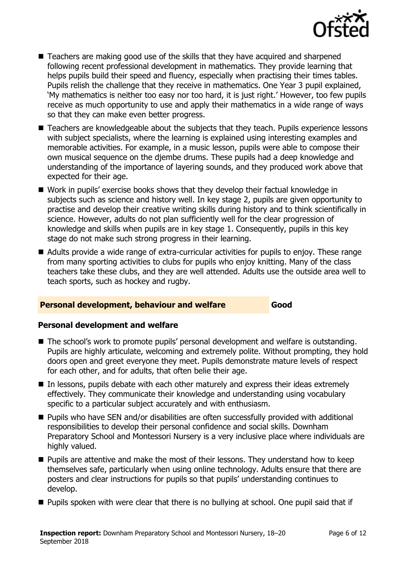

- Teachers are making good use of the skills that they have acquired and sharpened following recent professional development in mathematics. They provide learning that helps pupils build their speed and fluency, especially when practising their times tables. Pupils relish the challenge that they receive in mathematics. One Year 3 pupil explained, 'My mathematics is neither too easy nor too hard, it is just right.' However, too few pupils receive as much opportunity to use and apply their mathematics in a wide range of ways so that they can make even better progress.
- Teachers are knowledgeable about the subjects that they teach. Pupils experience lessons with subject specialists, where the learning is explained using interesting examples and memorable activities. For example, in a music lesson, pupils were able to compose their own musical sequence on the djembe drums. These pupils had a deep knowledge and understanding of the importance of layering sounds, and they produced work above that expected for their age.
- Work in pupils' exercise books shows that they develop their factual knowledge in subjects such as science and history well. In key stage 2, pupils are given opportunity to practise and develop their creative writing skills during history and to think scientifically in science. However, adults do not plan sufficiently well for the clear progression of knowledge and skills when pupils are in key stage 1. Consequently, pupils in this key stage do not make such strong progress in their learning.
- Adults provide a wide range of extra-curricular activities for pupils to enjoy. These range from many sporting activities to clubs for pupils who enjoy knitting. Many of the class teachers take these clubs, and they are well attended. Adults use the outside area well to teach sports, such as hockey and rugby.

#### **Personal development, behaviour and welfare Good**

#### **Personal development and welfare**

- The school's work to promote pupils' personal development and welfare is outstanding. Pupils are highly articulate, welcoming and extremely polite. Without prompting, they hold doors open and greet everyone they meet. Pupils demonstrate mature levels of respect for each other, and for adults, that often belie their age.
- In lessons, pupils debate with each other maturely and express their ideas extremely effectively. They communicate their knowledge and understanding using vocabulary specific to a particular subject accurately and with enthusiasm.
- Pupils who have SEN and/or disabilities are often successfully provided with additional responsibilities to develop their personal confidence and social skills. Downham Preparatory School and Montessori Nursery is a very inclusive place where individuals are highly valued.
- **Pupils are attentive and make the most of their lessons. They understand how to keep** themselves safe, particularly when using online technology. Adults ensure that there are posters and clear instructions for pupils so that pupils' understanding continues to develop.
- **Pupils spoken with were clear that there is no bullying at school. One pupil said that if**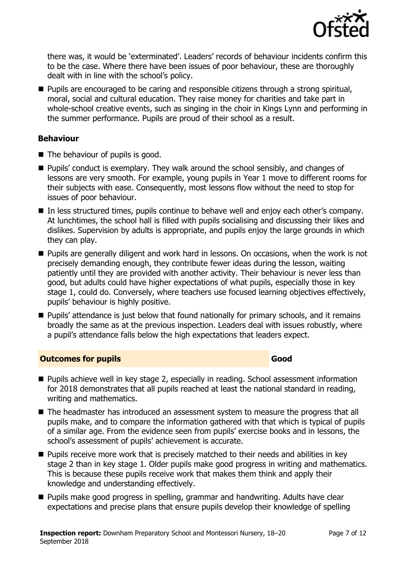

there was, it would be 'exterminated'. Leaders' records of behaviour incidents confirm this to be the case. Where there have been issues of poor behaviour, these are thoroughly dealt with in line with the school's policy.

**Pupils are encouraged to be caring and responsible citizens through a strong spiritual,** moral, social and cultural education. They raise money for charities and take part in whole-school creative events, such as singing in the choir in Kings Lynn and performing in the summer performance. Pupils are proud of their school as a result.

#### **Behaviour**

- The behaviour of pupils is good.
- Pupils' conduct is exemplary. They walk around the school sensibly, and changes of lessons are very smooth. For example, young pupils in Year 1 move to different rooms for their subjects with ease. Consequently, most lessons flow without the need to stop for issues of poor behaviour.
- In less structured times, pupils continue to behave well and enjoy each other's company. At lunchtimes, the school hall is filled with pupils socialising and discussing their likes and dislikes. Supervision by adults is appropriate, and pupils enjoy the large grounds in which they can play.
- **Pupils are generally diligent and work hard in lessons. On occasions, when the work is not** precisely demanding enough, they contribute fewer ideas during the lesson, waiting patiently until they are provided with another activity. Their behaviour is never less than good, but adults could have higher expectations of what pupils, especially those in key stage 1, could do. Conversely, where teachers use focused learning objectives effectively, pupils' behaviour is highly positive.
- **Pupils' attendance is just below that found nationally for primary schools, and it remains** broadly the same as at the previous inspection. Leaders deal with issues robustly, where a pupil's attendance falls below the high expectations that leaders expect.

### **Outcomes for pupils Good**

- Pupils achieve well in key stage 2, especially in reading. School assessment information for 2018 demonstrates that all pupils reached at least the national standard in reading, writing and mathematics.
- The headmaster has introduced an assessment system to measure the progress that all pupils make, and to compare the information gathered with that which is typical of pupils of a similar age. From the evidence seen from pupils' exercise books and in lessons, the school's assessment of pupils' achievement is accurate.
- **Pupils receive more work that is precisely matched to their needs and abilities in key** stage 2 than in key stage 1. Older pupils make good progress in writing and mathematics. This is because these pupils receive work that makes them think and apply their knowledge and understanding effectively.
- **Pupils make good progress in spelling, grammar and handwriting. Adults have clear** expectations and precise plans that ensure pupils develop their knowledge of spelling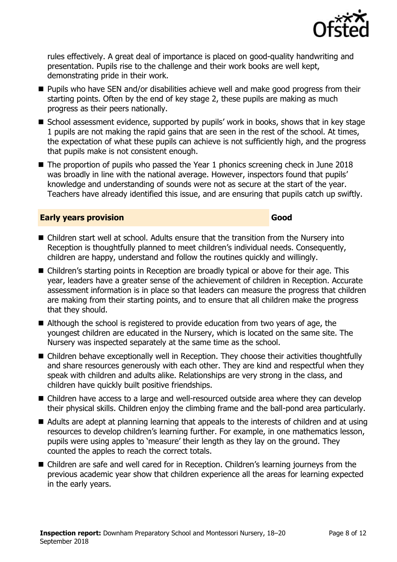

rules effectively. A great deal of importance is placed on good-quality handwriting and presentation. Pupils rise to the challenge and their work books are well kept, demonstrating pride in their work.

- Pupils who have SEN and/or disabilities achieve well and make good progress from their starting points. Often by the end of key stage 2, these pupils are making as much progress as their peers nationally.
- School assessment evidence, supported by pupils' work in books, shows that in key stage 1 pupils are not making the rapid gains that are seen in the rest of the school. At times, the expectation of what these pupils can achieve is not sufficiently high, and the progress that pupils make is not consistent enough.
- The proportion of pupils who passed the Year 1 phonics screening check in June 2018 was broadly in line with the national average. However, inspectors found that pupils' knowledge and understanding of sounds were not as secure at the start of the year. Teachers have already identified this issue, and are ensuring that pupils catch up swiftly.

#### **Early years provision Good**

- Children start well at school. Adults ensure that the transition from the Nursery into Reception is thoughtfully planned to meet children's individual needs. Consequently, children are happy, understand and follow the routines quickly and willingly.
- Children's starting points in Reception are broadly typical or above for their age. This year, leaders have a greater sense of the achievement of children in Reception. Accurate assessment information is in place so that leaders can measure the progress that children are making from their starting points, and to ensure that all children make the progress that they should.
- Although the school is registered to provide education from two years of age, the youngest children are educated in the Nursery, which is located on the same site. The Nursery was inspected separately at the same time as the school.
- Children behave exceptionally well in Reception. They choose their activities thoughtfully and share resources generously with each other. They are kind and respectful when they speak with children and adults alike. Relationships are very strong in the class, and children have quickly built positive friendships.
- Children have access to a large and well-resourced outside area where they can develop their physical skills. Children enjoy the climbing frame and the ball-pond area particularly.
- Adults are adept at planning learning that appeals to the interests of children and at using resources to develop children's learning further. For example, in one mathematics lesson, pupils were using apples to 'measure' their length as they lay on the ground. They counted the apples to reach the correct totals.
- Children are safe and well cared for in Reception. Children's learning journeys from the previous academic year show that children experience all the areas for learning expected in the early years.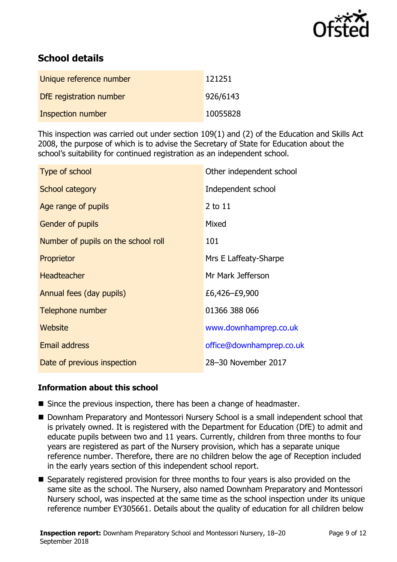

# **School details**

| Unique reference number  | 121251   |
|--------------------------|----------|
| DfE registration number  | 926/6143 |
| <b>Inspection number</b> | 10055828 |

This inspection was carried out under section 109(1) and (2) of the Education and Skills Act 2008, the purpose of which is to advise the Secretary of State for Education about the school's suitability for continued registration as an independent school.

| Type of school                      | Other independent school |
|-------------------------------------|--------------------------|
| School category                     | Independent school       |
| Age range of pupils                 | 2 to 11                  |
| Gender of pupils                    | Mixed                    |
| Number of pupils on the school roll | 101                      |
| Proprietor                          | Mrs E Laffeaty-Sharpe    |
| <b>Headteacher</b>                  | Mr Mark Jefferson        |
| Annual fees (day pupils)            | £6,426–£9,900            |
| Telephone number                    | 01366 388 066            |
| Website                             | www.downhamprep.co.uk    |
| <b>Email address</b>                | office@downhamprep.co.uk |
| Date of previous inspection         | 28-30 November 2017      |

#### **Information about this school**

- Since the previous inspection, there has been a change of headmaster.
- Downham Preparatory and Montessori Nursery School is a small independent school that is privately owned. It is registered with the Department for Education (DfE) to admit and educate pupils between two and 11 years. Currently, children from three months to four years are registered as part of the Nursery provision, which has a separate unique reference number. Therefore, there are no children below the age of Reception included in the early years section of this independent school report.
- Separately registered provision for three months to four years is also provided on the same site as the school. The Nursery, also named Downham Preparatory and Montessori Nursery school, was inspected at the same time as the school inspection under its unique reference number EY305661. Details about the quality of education for all children below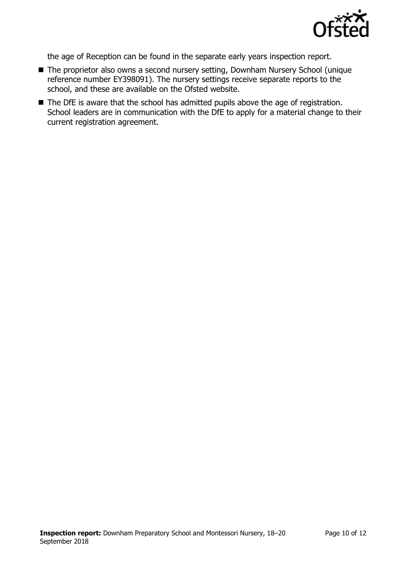

the age of Reception can be found in the separate early years inspection report.

- The proprietor also owns a second nursery setting, Downham Nursery School (unique reference number EY398091). The nursery settings receive separate reports to the school, and these are available on the Ofsted website.
- The DfE is aware that the school has admitted pupils above the age of registration. School leaders are in communication with the DfE to apply for a material change to their current registration agreement.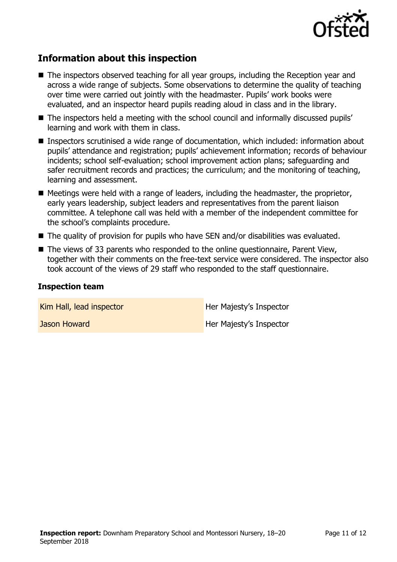

# **Information about this inspection**

- The inspectors observed teaching for all year groups, including the Reception year and across a wide range of subjects. Some observations to determine the quality of teaching over time were carried out jointly with the headmaster. Pupils' work books were evaluated, and an inspector heard pupils reading aloud in class and in the library.
- The inspectors held a meeting with the school council and informally discussed pupils' learning and work with them in class.
- Inspectors scrutinised a wide range of documentation, which included: information about pupils' attendance and registration; pupils' achievement information; records of behaviour incidents; school self-evaluation; school improvement action plans; safeguarding and safer recruitment records and practices; the curriculum; and the monitoring of teaching, learning and assessment.
- $\blacksquare$  Meetings were held with a range of leaders, including the headmaster, the proprietor, early years leadership, subject leaders and representatives from the parent liaison committee. A telephone call was held with a member of the independent committee for the school's complaints procedure.
- The quality of provision for pupils who have SEN and/or disabilities was evaluated.
- $\blacksquare$  The views of 33 parents who responded to the online questionnaire, Parent View, together with their comments on the free-text service were considered. The inspector also took account of the views of 29 staff who responded to the staff questionnaire.

#### **Inspection team**

Kim Hall, lead inspector **Her Majesty's Inspector** 

**Jason Howard Her Majesty's Inspector**